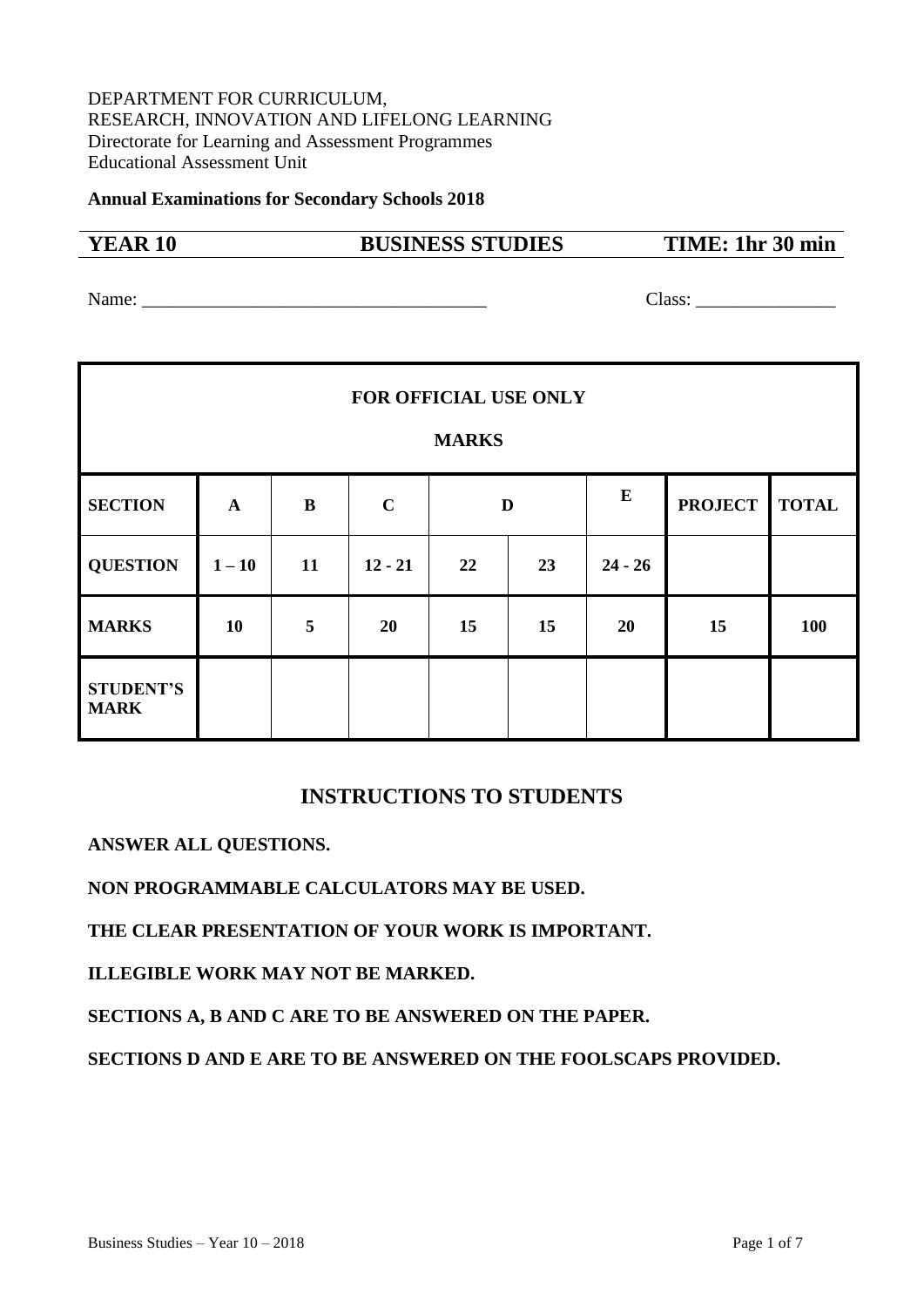## DEPARTMENT FOR CURRICULUM, RESEARCH, INNOVATION AND LIFELONG LEARNING Directorate for Learning and Assessment Programmes Educational Assessment Unit

**Annual Examinations for Secondary Schools 2018**

| 17.<br>. .<br>$\cdot$ |  | I |
|-----------------------|--|---|
|-----------------------|--|---|

# **YEAR 10 BUSINESS STUDIES TIME: 1hr 30 min**

Name: Class:

| <b>FOR OFFICIAL USE ONLY</b><br><b>MARKS</b> |              |    |             |    |    |           |                |              |
|----------------------------------------------|--------------|----|-------------|----|----|-----------|----------------|--------------|
| <b>SECTION</b>                               | $\mathbf{A}$ | B  | $\mathbf C$ |    | D  | E         | <b>PROJECT</b> | <b>TOTAL</b> |
| <b>QUESTION</b>                              | $1 - 10$     | 11 | $12 - 21$   | 22 | 23 | $24 - 26$ |                |              |
| <b>MARKS</b>                                 | 10           | 5  | 20          | 15 | 15 | 20        | 15             | 100          |
| <b>STUDENT'S</b><br><b>MARK</b>              |              |    |             |    |    |           |                |              |

# **INSTRUCTIONS TO STUDENTS**

**ANSWER ALL QUESTIONS.**

**NON PROGRAMMABLE CALCULATORS MAY BE USED.**

**THE CLEAR PRESENTATION OF YOUR WORK IS IMPORTANT.** 

**ILLEGIBLE WORK MAY NOT BE MARKED.**

**SECTIONS A, B AND C ARE TO BE ANSWERED ON THE PAPER.**

**SECTIONS D AND E ARE TO BE ANSWERED ON THE FOOLSCAPS PROVIDED.**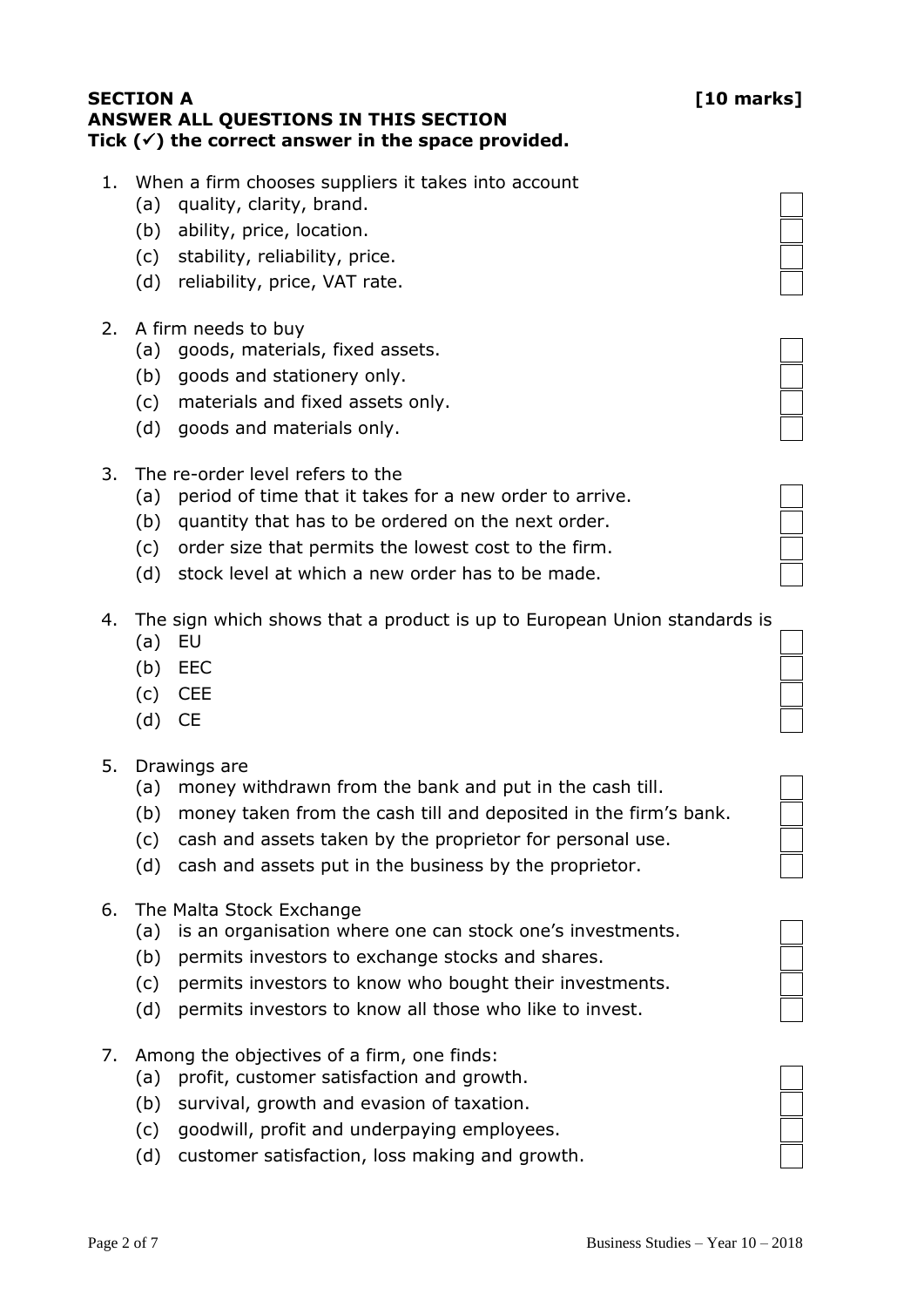# **SECTION A [10 marks] ANSWER ALL QUESTIONS IN THIS SECTION Tick () the correct answer in the space provided.**

- 1. When a firm chooses suppliers it takes into account
	- (a) quality, clarity, brand.
	- (b) ability, price, location.
	- (c) stability, reliability, price.
	- (d) reliability, price, VAT rate.
- 2. A firm needs to buy
	- (a) goods, materials, fixed assets.
	- (b) goods and stationery only.
	- (c) materials and fixed assets only.
	- (d) goods and materials only.
- 3. The re-order level refers to the
	- (a) period of time that it takes for a new order to arrive.
	- (b) quantity that has to be ordered on the next order.
	- (c) order size that permits the lowest cost to the firm.
	- (d) stock level at which a new order has to be made.
- 4. The sign which shows that a product is up to European Union standards is
	- (a) EU
	- (b) EEC
	- (c) CEE
	- (d) CE
- 5. Drawings are
	- (a) money withdrawn from the bank and put in the cash till.
	- (b) money taken from the cash till and deposited in the firm's bank.
	- (c) cash and assets taken by the proprietor for personal use.
	- (d) cash and assets put in the business by the proprietor.
- 6. The Malta Stock Exchange
	- (a) is an organisation where one can stock one's investments.
	- (b) permits investors to exchange stocks and shares.
	- (c) permits investors to know who bought their investments.
	- (d) permits investors to know all those who like to invest.
- 7. Among the objectives of a firm, one finds:
	- (a) profit, customer satisfaction and growth.
	- (b) survival, growth and evasion of taxation.
	- (c) goodwill, profit and underpaying employees.
	- (d) customer satisfaction, loss making and growth.





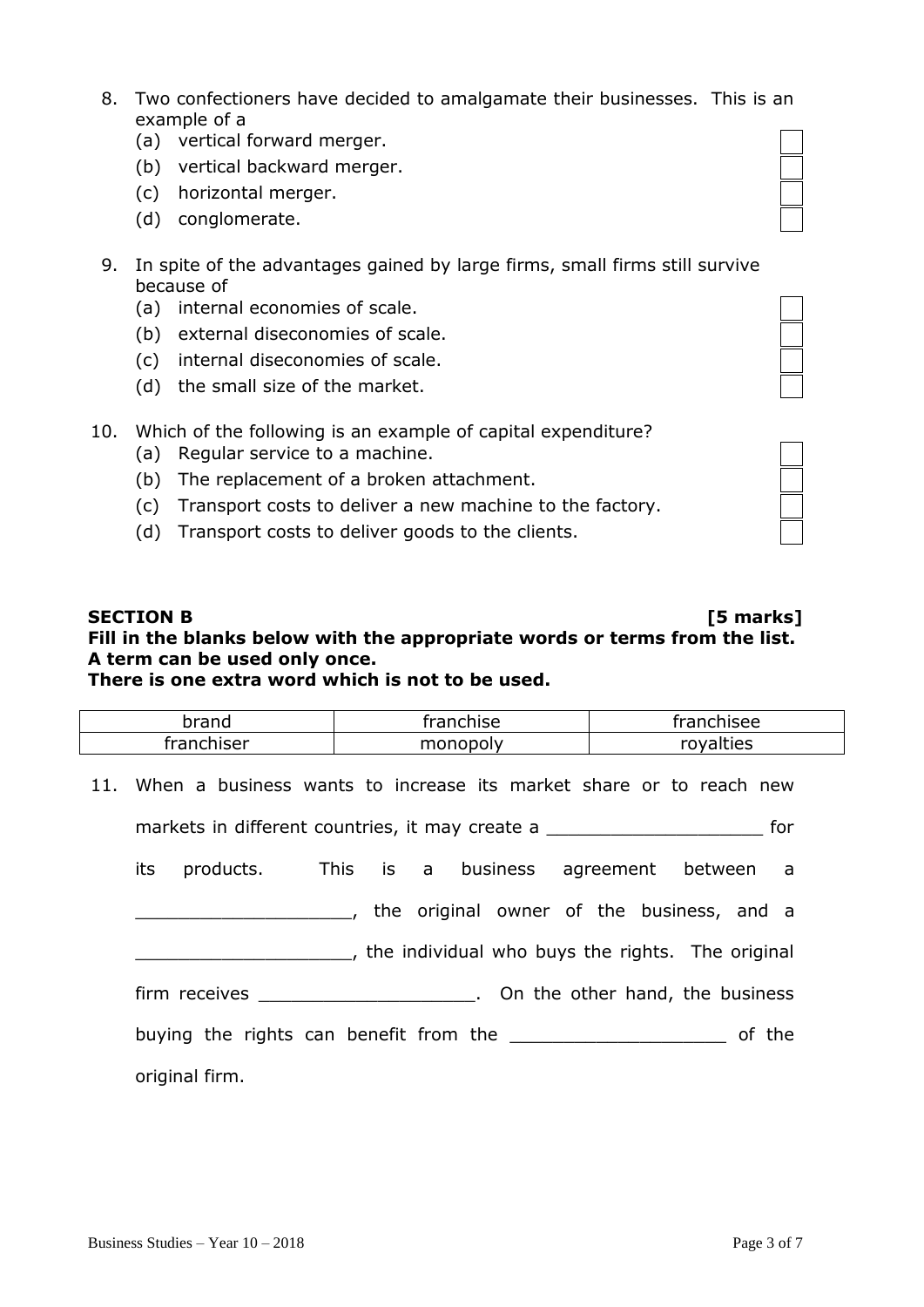- 8. Two confectioners have decided to amalgamate their businesses. This is an example of a
	- (a) vertical forward merger.
	- (b) vertical backward merger.
	- (c) horizontal merger.
	- (d) conglomerate.
- 9. In spite of the advantages gained by large firms, small firms still survive because of
	- (a) internal economies of scale.
	- (b) external diseconomies of scale.
	- (c) internal diseconomies of scale.
	- (d) the small size of the market.
- 10. Which of the following is an example of capital expenditure?
	- (a) Regular service to a machine.
	- (b) The replacement of a broken attachment.
	- (c) Transport costs to deliver a new machine to the factory.
	- (d) Transport costs to deliver goods to the clients.

# **SECTION B [5 marks] Fill in the blanks below with the appropriate words or terms from the list. A term can be used only once.**

|  | There is one extra word which is not to be used. |
|--|--------------------------------------------------|
|--|--------------------------------------------------|

| brand                                                                      | franchise                                                              | franchisee |  |  |  |
|----------------------------------------------------------------------------|------------------------------------------------------------------------|------------|--|--|--|
| franchiser                                                                 | monopoly                                                               | royalties  |  |  |  |
|                                                                            | 11. When a business wants to increase its market share or to reach new |            |  |  |  |
|                                                                            | markets in different countries, it may create a                        | for        |  |  |  |
|                                                                            | its products. This is a business agreement between a                   |            |  |  |  |
|                                                                            | and the original owner of the business, and a                          |            |  |  |  |
| the individual who buys the rights. The original                           |                                                                        |            |  |  |  |
| firm receives <b>Exercise 2.</b> Computer of the other hand, the business  |                                                                        |            |  |  |  |
| buying the rights can benefit from the ____________________________ of the |                                                                        |            |  |  |  |
| original firm.                                                             |                                                                        |            |  |  |  |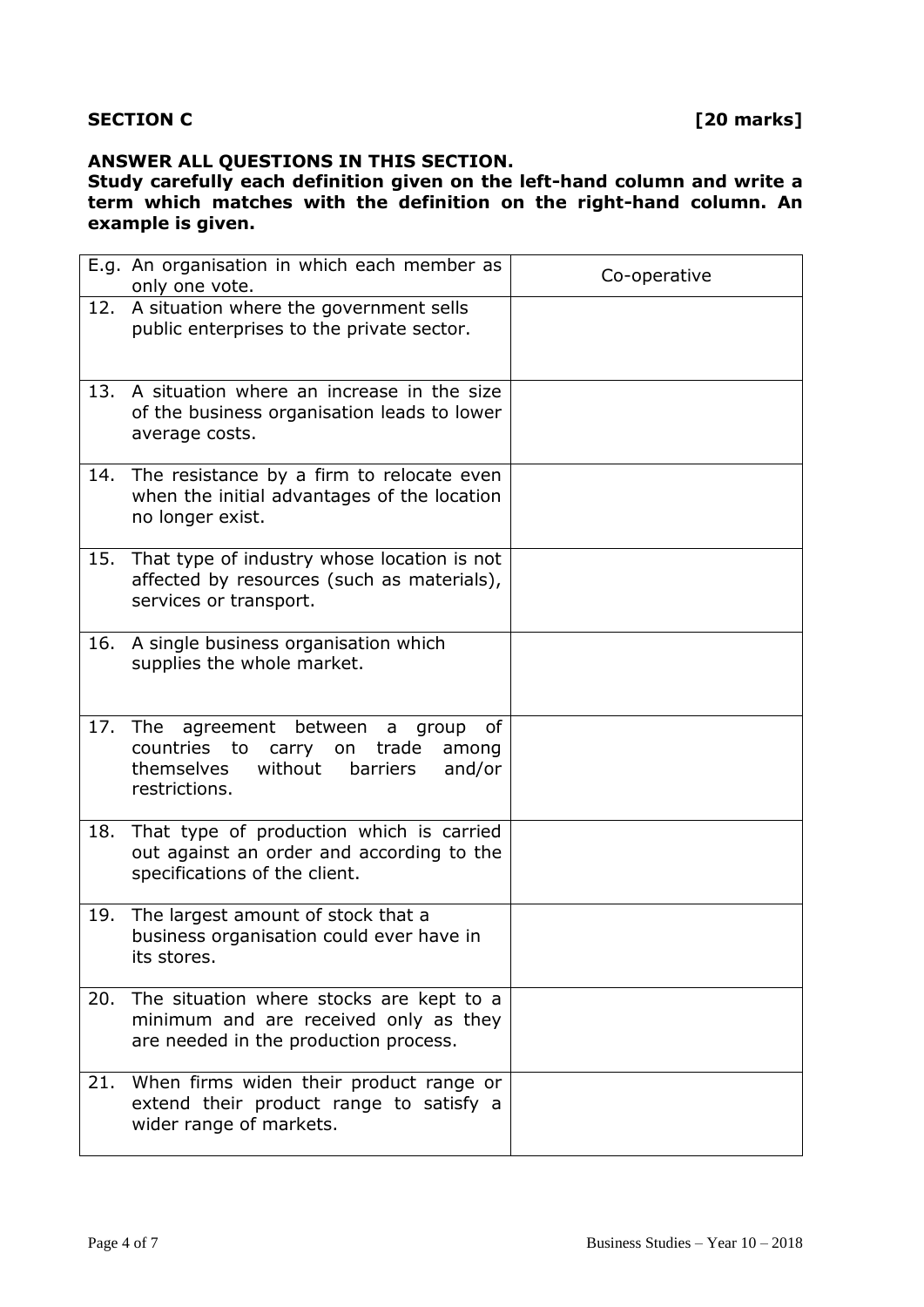# **ANSWER ALL QUESTIONS IN THIS SECTION.**

#### **Study carefully each definition given on the left-hand column and write a term which matches with the definition on the right-hand column. An example is given.**

|     | E.g. An organisation in which each member as<br>only one vote.                                                                                        | Co-operative |
|-----|-------------------------------------------------------------------------------------------------------------------------------------------------------|--------------|
| 12. | A situation where the government sells<br>public enterprises to the private sector.                                                                   |              |
| 13. | A situation where an increase in the size<br>of the business organisation leads to lower<br>average costs.                                            |              |
|     | 14. The resistance by a firm to relocate even<br>when the initial advantages of the location<br>no longer exist.                                      |              |
|     | 15. That type of industry whose location is not<br>affected by resources (such as materials),<br>services or transport.                               |              |
|     | 16. A single business organisation which<br>supplies the whole market.                                                                                |              |
|     | 17. The<br>agreement between a<br>οf<br>group<br>countries to carry on trade<br>among<br>themselves<br>without<br>barriers<br>and/or<br>restrictions. |              |
| 18. | That type of production which is carried<br>out against an order and according to the<br>specifications of the client.                                |              |
| 19. | The largest amount of stock that a<br>business organisation could ever have in<br>its stores.                                                         |              |
| 20. | The situation where stocks are kept to a<br>minimum and are received only as they<br>are needed in the production process.                            |              |
| 21. | When firms widen their product range or<br>extend their product range to satisfy a<br>wider range of markets.                                         |              |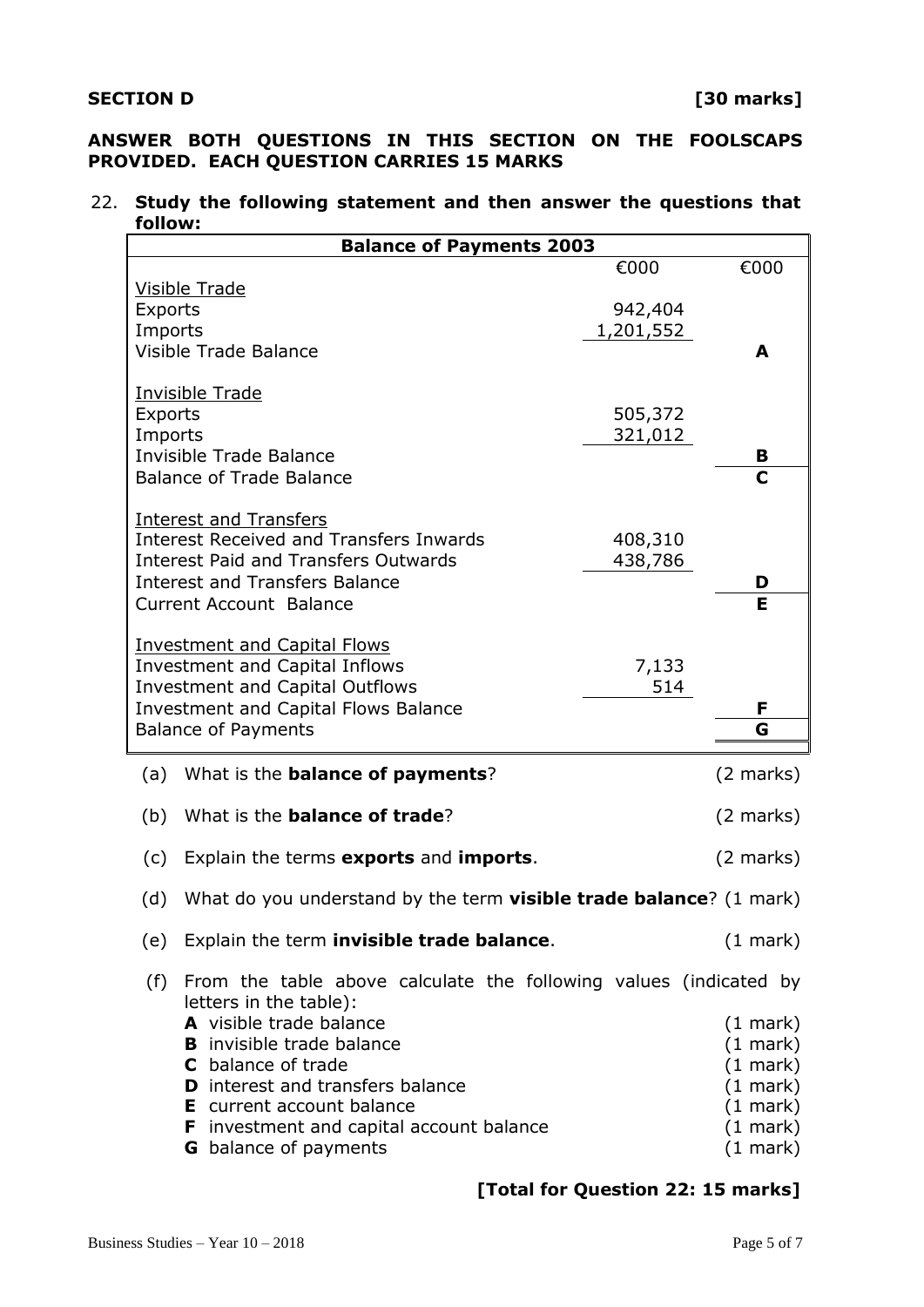# **ANSWER BOTH QUESTIONS IN THIS SECTION ON THE FOOLSCAPS PROVIDED. EACH QUESTION CARRIES 15 MARKS**

### 22. **Study the following statement and then answer the questions that follow:**

| <b>Balance of Payments 2003</b>                                          |                                                                                             |           |                             |  |
|--------------------------------------------------------------------------|---------------------------------------------------------------------------------------------|-----------|-----------------------------|--|
|                                                                          |                                                                                             | €000      | €000                        |  |
|                                                                          | <b>Visible Trade</b>                                                                        | 942,404   |                             |  |
| <b>Exports</b><br>Imports                                                |                                                                                             | 1,201,552 |                             |  |
| Visible Trade Balance                                                    |                                                                                             |           | A                           |  |
|                                                                          |                                                                                             |           |                             |  |
| <b>Invisible Trade</b>                                                   |                                                                                             | 505,372   |                             |  |
| <b>Exports</b><br>Imports                                                |                                                                                             | 321,012   |                             |  |
| <b>Invisible Trade Balance</b>                                           |                                                                                             |           | в                           |  |
| <b>Balance of Trade Balance</b>                                          |                                                                                             |           | C                           |  |
|                                                                          |                                                                                             |           |                             |  |
| Interest and Transfers<br><b>Interest Received and Transfers Inwards</b> |                                                                                             | 408,310   |                             |  |
| <b>Interest Paid and Transfers Outwards</b>                              |                                                                                             | 438,786   |                             |  |
|                                                                          | <b>Interest and Transfers Balance</b>                                                       |           | D                           |  |
|                                                                          | <b>Current Account Balance</b>                                                              |           | E                           |  |
| <b>Investment and Capital Flows</b>                                      |                                                                                             |           |                             |  |
|                                                                          | Investment and Capital Inflows                                                              | 7,133     |                             |  |
|                                                                          | <b>Investment and Capital Outflows</b>                                                      | 514       |                             |  |
|                                                                          | <b>Investment and Capital Flows Balance</b>                                                 |           | F                           |  |
|                                                                          | <b>Balance of Payments</b>                                                                  |           | G                           |  |
| (a)                                                                      | What is the <b>balance of payments</b> ?                                                    |           | $(2 \text{ marks})$         |  |
| (b)                                                                      | What is the <b>balance of trade</b> ?                                                       |           | $(2 \text{ marks})$         |  |
| (c)                                                                      | Explain the terms exports and imports.                                                      |           | $(2 \text{ marks})$         |  |
| (d)                                                                      | What do you understand by the term <b>visible trade balance</b> ? (1 mark)                  |           |                             |  |
| (e)                                                                      | Explain the term invisible trade balance.                                                   |           | $(1$ mark $)$               |  |
| (f)                                                                      | From the table above calculate the following values (indicated by<br>letters in the table): |           |                             |  |
|                                                                          | A visible trade balance                                                                     |           | $(1 \text{ mark})$          |  |
|                                                                          | <b>B</b> invisible trade balance<br>C balance of trade                                      |           | $(1$ mark)                  |  |
|                                                                          | <b>D</b> interest and transfers balance                                                     |           | $(1$ mark)<br>$(1$ mark $)$ |  |
|                                                                          | <b>E</b> current account balance                                                            |           | $(1 \text{ mark})$          |  |
|                                                                          | <b>F</b> investment and capital account balance                                             |           | $(1$ mark)                  |  |
|                                                                          | <b>G</b> balance of payments                                                                |           | $(1 \text{ mark})$          |  |

# **[Total for Question 22: 15 marks]**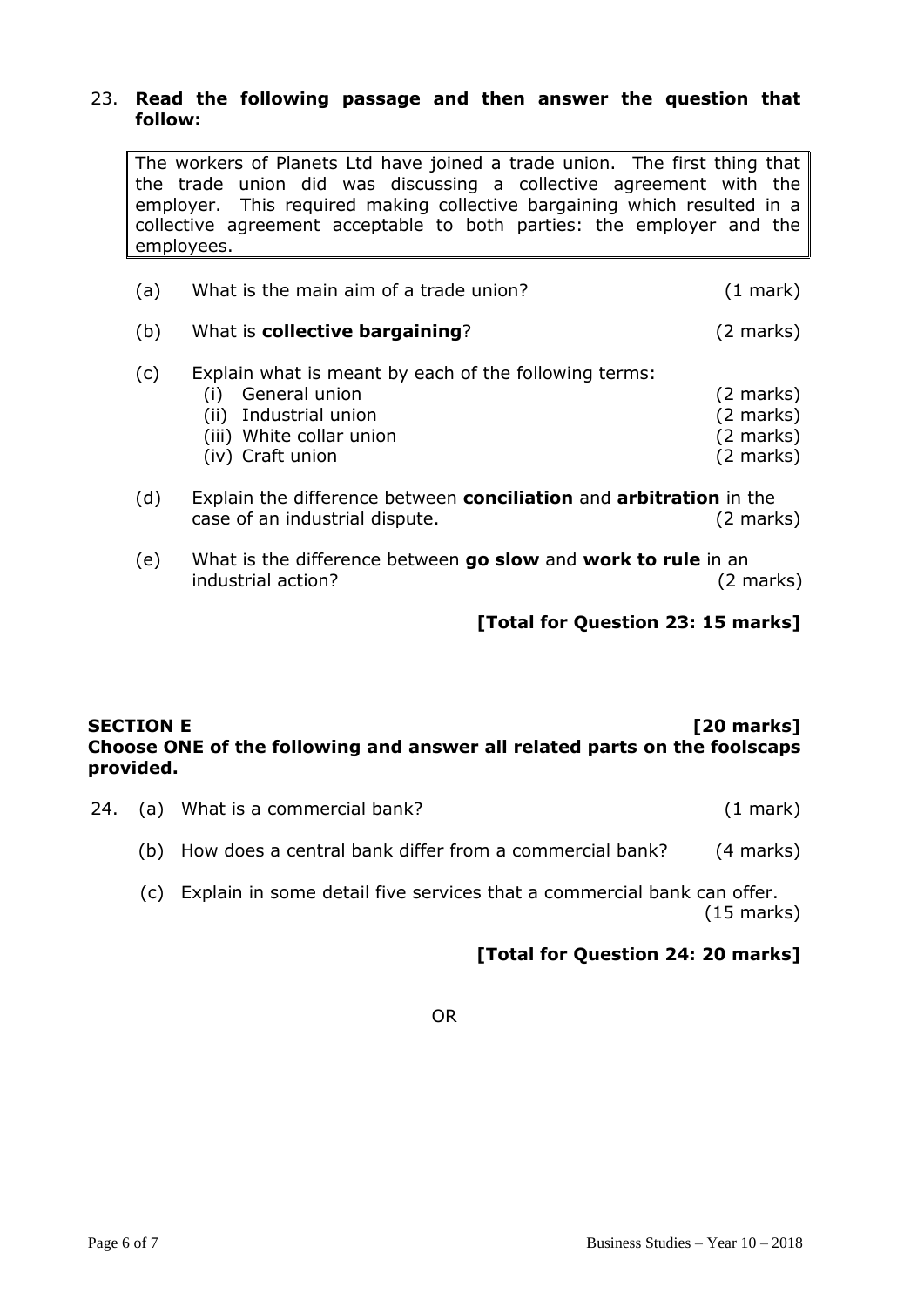### 23. **Read the following passage and then answer the question that follow:**

The workers of Planets Ltd have joined a trade union. The first thing that the trade union did was discussing a collective agreement with the employer. This required making collective bargaining which resulted in a collective agreement acceptable to both parties: the employer and the employees.

| (a) | What is the main aim of a trade union?                                                                                                          | $(1$ mark)                                                                               |
|-----|-------------------------------------------------------------------------------------------------------------------------------------------------|------------------------------------------------------------------------------------------|
| (b) | What is <b>collective bargaining</b> ?                                                                                                          | $(2 \text{ marks})$                                                                      |
| (c) | Explain what is meant by each of the following terms:<br>General union<br>(ii) Industrial union<br>(iii) White collar union<br>(iv) Craft union | $(2 \text{ marks})$<br>$(2 \text{ marks})$<br>$(2 \text{ marks})$<br>$(2 \text{ marks})$ |

- (d) Explain the difference between **conciliation** and **arbitration** in the case of an industrial dispute. (2 marks)
- (e) What is the difference between **go slow** and **work to rule** in an industrial action? (2 marks)

**[Total for Question 23: 15 marks]**

## **SECTION E** *COMPONE* **EXECTION E** *COMPONE COMPONE* **EXECTION E Choose ONE of the following and answer all related parts on the foolscaps provided.**

- 24. (a) What is a commercial bank? (1 mark)
	- (b) How does a central bank differ from a commercial bank? (4 marks)
	- (c) Explain in some detail five services that a commercial bank can offer. (15 marks)

# **[Total for Question 24: 20 marks]**

OR